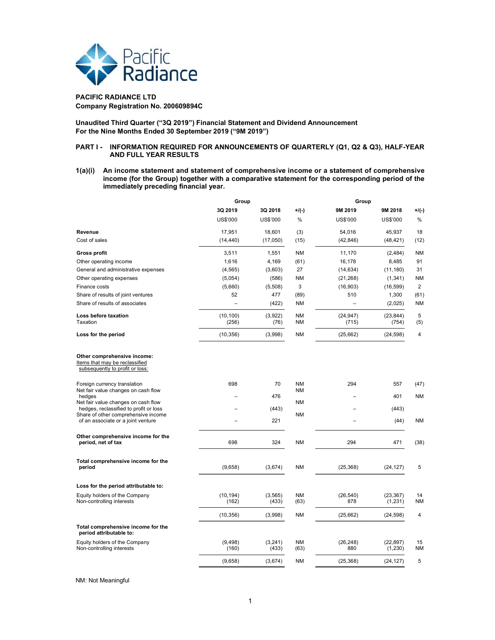

# PACIFIC RADIANCE LTD Company Registration No. 200609894C

Unaudited Third Quarter ("3Q 2019") Financial Statement and Dividend Announcement For the Nine Months Ended 30 September 2019 ("9M 2019")

# PART I - INFORMATION REQUIRED FOR ANNOUNCEMENTS OF QUARTERLY (Q1, Q2 & Q3), HALF-YEAR AND FULL YEAR RESULTS

1(a)(i) An income statement and statement of comprehensive income or a statement of comprehensive income (for the Group) together with a comparative statement for the corresponding period of the immediately preceding financial year.

|                                                                                                                                                                                           | Group              |                   | Group                               |                    |                       |                   |
|-------------------------------------------------------------------------------------------------------------------------------------------------------------------------------------------|--------------------|-------------------|-------------------------------------|--------------------|-----------------------|-------------------|
|                                                                                                                                                                                           | 3Q 2019            | 3Q 2018           | $+$ /(-)                            | 9M 2019            | 9M 2018               | $+$ /(-)          |
|                                                                                                                                                                                           | US\$'000           | US\$'000          | $\%$                                | US\$'000           | US\$'000              | $\%$              |
| Revenue                                                                                                                                                                                   | 17,951             | 18,601            | (3)                                 | 54,016             | 45,937                | 18                |
| Cost of sales                                                                                                                                                                             | (14, 440)          | (17,050)          | (15)                                | (42, 846)          | (48, 421)             | (12)              |
| <b>Gross profit</b>                                                                                                                                                                       | 3,511              | 1,551             | <b>NM</b>                           | 11,170             | (2, 484)              | <b>NM</b>         |
| Other operating income                                                                                                                                                                    | 1,616              | 4,169             | (61)                                | 16,178             | 8,485                 | 91                |
| General and administrative expenses                                                                                                                                                       | (4, 565)           | (3,603)           | 27                                  | (14, 634)          | (11, 180)             | 31                |
| Other operating expenses                                                                                                                                                                  | (5,054)            | (586)             | <b>NM</b>                           | (21, 268)          | (1, 341)              | <b>NM</b>         |
| Finance costs                                                                                                                                                                             | (5,660)            | (5,508)           | 3                                   | (16,903)           | (16, 599)             | 2                 |
| Share of results of joint ventures                                                                                                                                                        | 52                 | 477               | (89)                                | 510                | 1,300                 | (61)              |
| Share of results of associates                                                                                                                                                            |                    | (422)             | <b>NM</b>                           |                    | (2,025)               | <b>NM</b>         |
| Loss before taxation<br>Taxation                                                                                                                                                          | (10, 100)<br>(256) | (3,922)<br>(76)   | <b>NM</b><br><b>NM</b>              | (24, 947)<br>(715) | (23, 844)<br>(754)    | 5<br>(5)          |
| Loss for the period                                                                                                                                                                       | (10, 356)          | (3,998)           | <b>NM</b>                           | (25, 662)          | (24, 598)             | 4                 |
| Items that may be reclassified<br>subsequently to profit or loss:<br>Foreign currency translation<br>Net fair value changes on cash flow<br>hedges<br>Net fair value changes on cash flow | 698                | 70<br>476         | <b>NM</b><br><b>NM</b><br><b>NM</b> | 294                | 557<br>401            | (47)<br><b>NM</b> |
| hedges, reclassified to profit or loss                                                                                                                                                    |                    | (443)             |                                     |                    | (443)                 |                   |
| Share of other comprehensive income<br>of an associate or a joint venture                                                                                                                 |                    | 221               | <b>NM</b>                           |                    | (44)                  | <b>NM</b>         |
| Other comprehensive income for the<br>period, net of tax                                                                                                                                  | 698                | 324               | <b>NM</b>                           | 294                | 471                   | (38)              |
| Total comprehensive income for the<br>period                                                                                                                                              | (9,658)            | (3,674)           | <b>NM</b>                           | (25, 368)          | (24, 127)             | 5                 |
| Loss for the period attributable to:                                                                                                                                                      |                    |                   |                                     |                    |                       |                   |
| Equity holders of the Company<br>Non-controlling interests                                                                                                                                | (10, 194)<br>(162) | (3, 565)<br>(433) | <b>NM</b><br>(63)                   | (26, 540)<br>878   | (23, 367)<br>(1,231)  | 14<br>ΝM          |
|                                                                                                                                                                                           | (10, 356)          | (3,998)           | <b>NM</b>                           | (25, 662)          | (24, 598)             | 4                 |
| Total comprehensive income for the<br>period attributable to:                                                                                                                             |                    |                   |                                     |                    |                       |                   |
| Equity holders of the Company<br>Non-controlling interests                                                                                                                                | (9, 498)<br>(160)  | (3, 241)<br>(433) | <b>NM</b><br>(63)                   | (26, 248)<br>880   | (22, 897)<br>(1, 230) | 15<br>NΜ          |
|                                                                                                                                                                                           | (9,658)            | (3,674)           | NM                                  | (25, 368)          | (24, 127)             | 5                 |
|                                                                                                                                                                                           |                    |                   |                                     |                    |                       |                   |

NM: Not Meaningful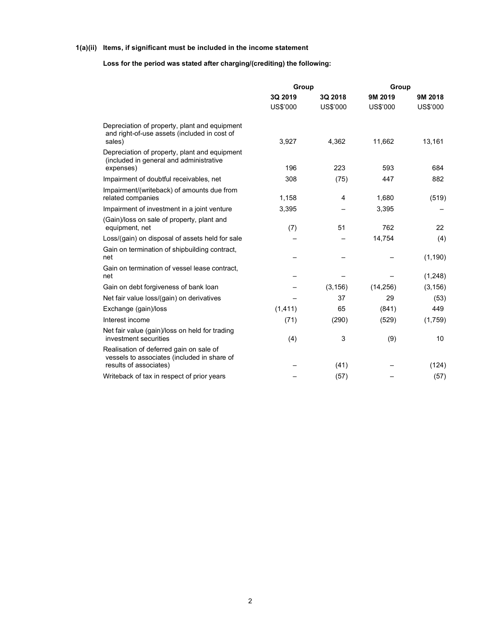# 1(a)(ii) Items, if significant must be included in the income statement

# Loss for the period was stated after charging/(crediting) the following:

|                                                                                                                  | Group               |                     | Group               |                     |  |
|------------------------------------------------------------------------------------------------------------------|---------------------|---------------------|---------------------|---------------------|--|
|                                                                                                                  | 3Q 2019<br>US\$'000 | 3Q 2018<br>US\$'000 | 9M 2019<br>US\$'000 | 9M 2018<br>US\$'000 |  |
| Depreciation of property, plant and equipment<br>and right-of-use assets (included in cost of<br>sales)          | 3,927               | 4,362               | 11,662              | 13,161              |  |
| Depreciation of property, plant and equipment<br>(included in general and administrative<br>expenses)            | 196                 | 223                 | 593                 | 684                 |  |
| Impairment of doubtful receivables, net                                                                          | 308                 | (75)                | 447                 | 882                 |  |
| Impairment/(writeback) of amounts due from<br>related companies                                                  | 1,158               | 4                   | 1,680               | (519)               |  |
| Impairment of investment in a joint venture                                                                      | 3,395               |                     | 3,395               |                     |  |
| (Gain)/loss on sale of property, plant and<br>equipment, net                                                     | (7)                 | 51                  | 762                 | 22                  |  |
| Loss/(gain) on disposal of assets held for sale                                                                  |                     |                     | 14,754              | (4)                 |  |
| Gain on termination of shipbuilding contract,<br>net                                                             |                     |                     |                     | (1, 190)            |  |
| Gain on termination of vessel lease contract,<br>net                                                             |                     |                     |                     | (1, 248)            |  |
| Gain on debt forgiveness of bank loan                                                                            |                     | (3, 156)            | (14, 256)           | (3, 156)            |  |
| Net fair value loss/(gain) on derivatives                                                                        |                     | 37                  | 29                  | (53)                |  |
| Exchange (gain)/loss                                                                                             | (1, 411)            | 65                  | (841)               | 449                 |  |
| Interest income                                                                                                  | (71)                | (290)               | (529)               | (1,759)             |  |
| Net fair value (gain)/loss on held for trading<br>investment securities                                          | (4)                 | 3                   | (9)                 | 10                  |  |
| Realisation of deferred gain on sale of<br>vessels to associates (included in share of<br>results of associates) |                     | (41)                |                     |                     |  |
| Writeback of tax in respect of prior years                                                                       |                     | (57)                |                     | (124)<br>(57)       |  |
|                                                                                                                  |                     |                     |                     |                     |  |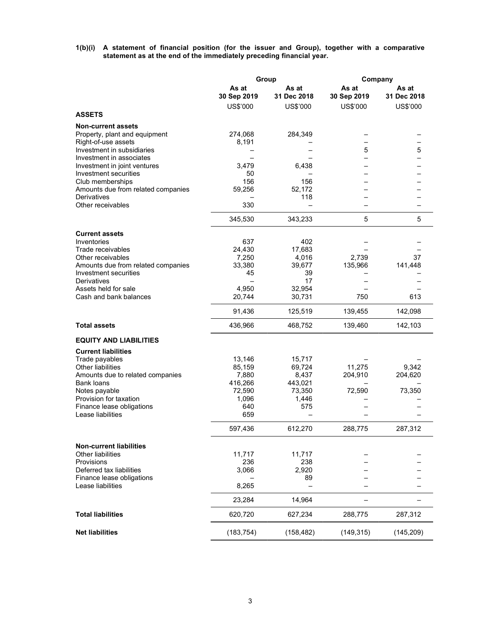1(b)(i) A statement of financial position (for the issuer and Group), together with a comparative statement as at the end of the immediately preceding financial year.

|                                                        |                      | Group                | Company              |                      |  |
|--------------------------------------------------------|----------------------|----------------------|----------------------|----------------------|--|
|                                                        | As at<br>30 Sep 2019 | As at<br>31 Dec 2018 | As at<br>30 Sep 2019 | As at<br>31 Dec 2018 |  |
| <b>ASSETS</b>                                          | US\$'000             | US\$'000             | US\$'000             | US\$'000             |  |
| <b>Non-current assets</b>                              |                      |                      |                      |                      |  |
| Property, plant and equipment                          | 274,068              | 284,349              | -                    | -                    |  |
| Right-of-use assets                                    | 8,191                |                      |                      |                      |  |
| Investment in subsidiaries<br>Investment in associates |                      |                      | 5                    | 5                    |  |
| Investment in joint ventures                           | 3,479                | 6,438                |                      |                      |  |
| Investment securities                                  | 50                   |                      |                      |                      |  |
| Club memberships<br>Amounts due from related companies | 156<br>59,256        | 156<br>52,172        |                      |                      |  |
| Derivatives                                            |                      | 118                  |                      |                      |  |
| Other receivables                                      | 330                  |                      |                      |                      |  |
|                                                        | 345,530              | 343,233              | 5                    | 5                    |  |
| <b>Current assets</b>                                  |                      |                      |                      |                      |  |
| Inventories<br>Trade receivables                       | 637                  | 402                  |                      |                      |  |
| Other receivables                                      | 24,430<br>7,250      | 17,683<br>4,016      | 2.739                | 37                   |  |
| Amounts due from related companies                     | 33,380               | 39.677               | 135,966              | 141,448              |  |
| Investment securities<br>Derivatives                   | 45                   | 39                   |                      |                      |  |
| Assets held for sale                                   | 4,950                | 17<br>32.954         |                      |                      |  |
| Cash and bank balances                                 | 20,744               | 30,731               | 750                  | 613                  |  |
|                                                        | 91,436               | 125,519              | 139,455              | 142,098              |  |
| <b>Total assets</b>                                    | 436,966              | 468,752              | 139,460              | 142,103              |  |
| <b>EQUITY AND LIABILITIES</b>                          |                      |                      |                      |                      |  |
| <b>Current liabilities</b>                             |                      |                      |                      |                      |  |
| Trade payables                                         | 13,146               | 15,717               |                      |                      |  |
| Other liabilities<br>Amounts due to related companies  | 85,159<br>7,880      | 69,724<br>8,437      | 11,275<br>204,910    | 9,342<br>204,620     |  |
| <b>Bank loans</b>                                      | 416,266              | 443,021              |                      |                      |  |
| Notes payable                                          | 72,590               | 73,350               | 72,590               | 73,350               |  |
| Provision for taxation                                 | 1,096                | 1,446<br>575         |                      |                      |  |
| Finance lease obligations<br>Lease liabilities         | 640<br>659           |                      |                      |                      |  |
|                                                        | 597,436              | 612,270              | 288,775              | 287,312              |  |
| <b>Non-current liabilities</b>                         |                      |                      |                      |                      |  |
| Other liabilities                                      | 11,717               | 11,717               |                      |                      |  |
| <b>Provisions</b>                                      | 236                  | 238                  |                      |                      |  |
| Deferred tax liabilities<br>Finance lease obligations  | 3,066                | 2,920<br>89          |                      |                      |  |
| Lease liabilities                                      | 8,265                |                      |                      |                      |  |
|                                                        | 23,284               | 14,964               |                      |                      |  |
| <b>Total liabilities</b>                               | 620,720              | 627,234              | 288,775              | 287,312              |  |
| <b>Net liabilities</b>                                 | (183, 754)           | (158, 482)           | (149, 315)           | (145, 209)           |  |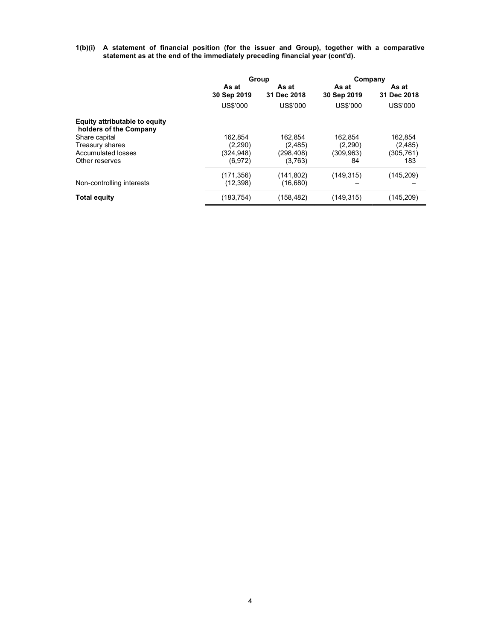1(b)(i) A statement of financial position (for the issuer and Group), together with a comparative statement as at the end of the immediately preceding financial year (cont'd).

|                                                         | Group                |                      | Company              |                      |  |
|---------------------------------------------------------|----------------------|----------------------|----------------------|----------------------|--|
|                                                         | As at<br>30 Sep 2019 | As at<br>31 Dec 2018 | As at<br>30 Sep 2019 | As at<br>31 Dec 2018 |  |
|                                                         | US\$'000             | US\$'000             | US\$'000             | US\$'000             |  |
| Equity attributable to equity<br>holders of the Company |                      |                      |                      |                      |  |
| Share capital                                           | 162.854              | 162.854              | 162.854              | 162,854              |  |
| Treasury shares                                         | (2,290)              | (2, 485)             | (2,290)              | (2, 485)             |  |
| Accumulated losses                                      | (324, 948)           | (298, 408)           | (309, 963)           | (305, 761)           |  |
| Other reserves                                          | (6, 972)             | (3,763)              | 84                   | 183                  |  |
|                                                         | (171, 356)           | (141, 802)           | (149, 315)           | (145, 209)           |  |
| Non-controlling interests                               | (12, 398)            | (16, 680)            |                      |                      |  |
| <b>Total equity</b>                                     | (183, 754)           | (158, 482)           | (149, 315)           | (145, 209)           |  |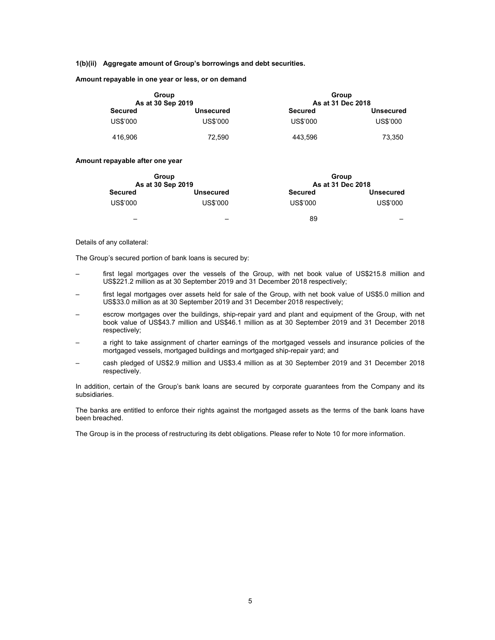#### 1(b)(ii) Aggregate amount of Group's borrowings and debt securities.

Amount repayable in one year or less, or on demand

| Group             |                  | Group             |                  |  |  |  |  |
|-------------------|------------------|-------------------|------------------|--|--|--|--|
| As at 30 Sep 2019 |                  | As at 31 Dec 2018 |                  |  |  |  |  |
| <b>Secured</b>    | <b>Unsecured</b> | <b>Secured</b>    | <b>Unsecured</b> |  |  |  |  |
| US\$'000          | US\$'000         | US\$'000          | US\$'000         |  |  |  |  |
| 416.906           | 72.590           | 443.596           | 73.350           |  |  |  |  |

# Amount repayable after one year

| As at 30 Sep 2019 | Group            | Group<br>As at 31 Dec 2018 |                          |
|-------------------|------------------|----------------------------|--------------------------|
| <b>Secured</b>    | <b>Unsecured</b> | <b>Secured</b>             | <b>Unsecured</b>         |
| US\$'000          | US\$'000         | US\$'000                   | US\$'000                 |
|                   | -                | 89                         | $\overline{\phantom{a}}$ |

#### Details of any collateral:

The Group's secured portion of bank loans is secured by:

- first legal mortgages over the vessels of the Group, with net book value of US\$215.8 million and US\$221.2 million as at 30 September 2019 and 31 December 2018 respectively;
- first legal mortgages over assets held for sale of the Group, with net book value of US\$5.0 million and US\$33.0 million as at 30 September 2019 and 31 December 2018 respectively;
- escrow mortgages over the buildings, ship-repair yard and plant and equipment of the Group, with net book value of US\$43.7 million and US\$46.1 million as at 30 September 2019 and 31 December 2018 respectively;
- a right to take assignment of charter earnings of the mortgaged vessels and insurance policies of the mortgaged vessels, mortgaged buildings and mortgaged ship-repair yard; and
- cash pledged of US\$2.9 million and US\$3.4 million as at 30 September 2019 and 31 December 2018 respectively.

In addition, certain of the Group's bank loans are secured by corporate guarantees from the Company and its subsidiaries.

The banks are entitled to enforce their rights against the mortgaged assets as the terms of the bank loans have been breached.

The Group is in the process of restructuring its debt obligations. Please refer to Note 10 for more information.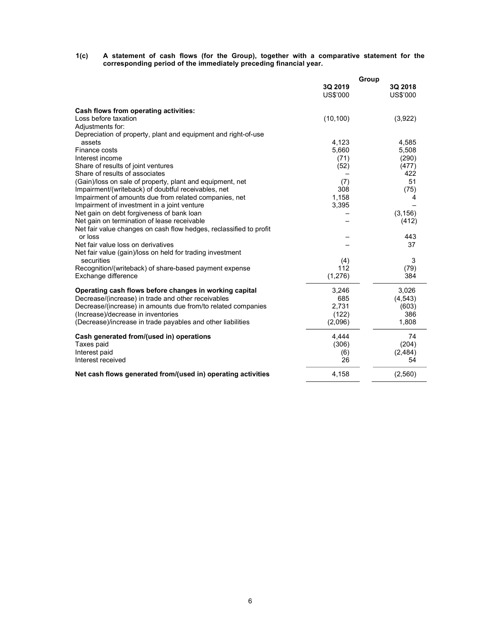#### 1(c) A statement of cash flows (for the Group), together with a comparative statement for the corresponding period of the immediately preceding financial year.

|                                                                    | Group               |                     |  |  |
|--------------------------------------------------------------------|---------------------|---------------------|--|--|
|                                                                    | 3Q 2019<br>US\$'000 | 3Q 2018<br>US\$'000 |  |  |
| Cash flows from operating activities:                              |                     |                     |  |  |
| Loss before taxation                                               | (10, 100)           | (3,922)             |  |  |
| Adjustments for:                                                   |                     |                     |  |  |
| Depreciation of property, plant and equipment and right-of-use     |                     |                     |  |  |
| assets                                                             | 4,123               | 4,585               |  |  |
| Finance costs                                                      | 5,660               | 5,508               |  |  |
| Interest income                                                    | (71)                | (290)               |  |  |
| Share of results of joint ventures                                 | (52)                | (477)               |  |  |
| Share of results of associates                                     |                     | 422                 |  |  |
| (Gain)/loss on sale of property, plant and equipment, net          | (7)                 | 51                  |  |  |
| Impairment/(writeback) of doubtful receivables, net                | 308                 | (75)                |  |  |
| Impairment of amounts due from related companies, net              | 1,158               | 4                   |  |  |
| Impairment of investment in a joint venture                        | 3,395               |                     |  |  |
| Net gain on debt forgiveness of bank loan                          |                     | (3, 156)            |  |  |
| Net gain on termination of lease receivable                        |                     | (412)               |  |  |
| Net fair value changes on cash flow hedges, reclassified to profit |                     |                     |  |  |
| or loss                                                            |                     | 443                 |  |  |
| Net fair value loss on derivatives                                 |                     | 37                  |  |  |
| Net fair value (gain)/loss on held for trading investment          |                     |                     |  |  |
| securities                                                         | (4)                 | 3                   |  |  |
| Recognition/(writeback) of share-based payment expense             | 112                 | (79)                |  |  |
| Exchange difference                                                | (1,276)             | 384                 |  |  |
| Operating cash flows before changes in working capital             | 3,246               | 3,026               |  |  |
| Decrease/(increase) in trade and other receivables                 | 685                 | (4, 543)            |  |  |
| Decrease/(increase) in amounts due from/to related companies       | 2,731               | (603)               |  |  |
| (Increase)/decrease in inventories                                 | (122)               | 386                 |  |  |
| (Decrease)/increase in trade payables and other liabilities        | (2,096)             | 1,808               |  |  |
| Cash generated from/(used in) operations                           | 4,444               | 74                  |  |  |
| Taxes paid                                                         | (306)               | (204)               |  |  |
| Interest paid                                                      | (6)                 | (2,484)             |  |  |
| Interest received                                                  | 26                  | 54                  |  |  |
| Net cash flows generated from/(used in) operating activities       | 4,158               | (2,560)             |  |  |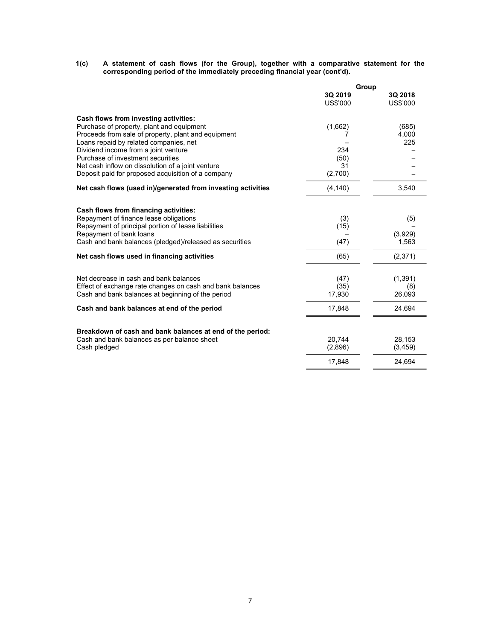1(c) A statement of cash flows (for the Group), together with a comparative statement for the corresponding period of the immediately preceding financial year (cont'd).

|                                                                                                          | Group    |          |  |  |
|----------------------------------------------------------------------------------------------------------|----------|----------|--|--|
|                                                                                                          | 3Q 2019  | 3Q 2018  |  |  |
|                                                                                                          | US\$'000 | US\$'000 |  |  |
| Cash flows from investing activities:                                                                    |          |          |  |  |
| Purchase of property, plant and equipment                                                                | (1,662)  | (685)    |  |  |
| Proceeds from sale of property, plant and equipment                                                      |          | 4,000    |  |  |
| Loans repaid by related companies, net                                                                   |          | 225      |  |  |
| Dividend income from a joint venture                                                                     | 234      |          |  |  |
| Purchase of investment securities                                                                        | (50)     |          |  |  |
| Net cash inflow on dissolution of a joint venture                                                        | 31       |          |  |  |
| Deposit paid for proposed acquisition of a company                                                       | (2,700)  |          |  |  |
| Net cash flows (used in)/generated from investing activities                                             | (4, 140) | 3,540    |  |  |
| Cash flows from financing activities:                                                                    |          |          |  |  |
| Repayment of finance lease obligations                                                                   | (3)      | (5)      |  |  |
| Repayment of principal portion of lease liabilities                                                      | (15)     |          |  |  |
| Repayment of bank loans                                                                                  |          | (3,929)  |  |  |
| Cash and bank balances (pledged)/released as securities                                                  | (47)     | 1,563    |  |  |
| Net cash flows used in financing activities                                                              | (65)     | (2, 371) |  |  |
|                                                                                                          |          |          |  |  |
| Net decrease in cash and bank balances                                                                   | (47)     | (1, 391) |  |  |
| Effect of exchange rate changes on cash and bank balances                                                | (35)     | (8)      |  |  |
| Cash and bank balances at beginning of the period                                                        | 17,930   | 26,093   |  |  |
| Cash and bank balances at end of the period                                                              | 17,848   | 24,694   |  |  |
|                                                                                                          |          |          |  |  |
| Breakdown of cash and bank balances at end of the period:<br>Cash and bank balances as per balance sheet | 20.744   | 28,153   |  |  |
| Cash pledged                                                                                             | (2,896)  | (3, 459) |  |  |
|                                                                                                          | 17,848   | 24,694   |  |  |
|                                                                                                          |          |          |  |  |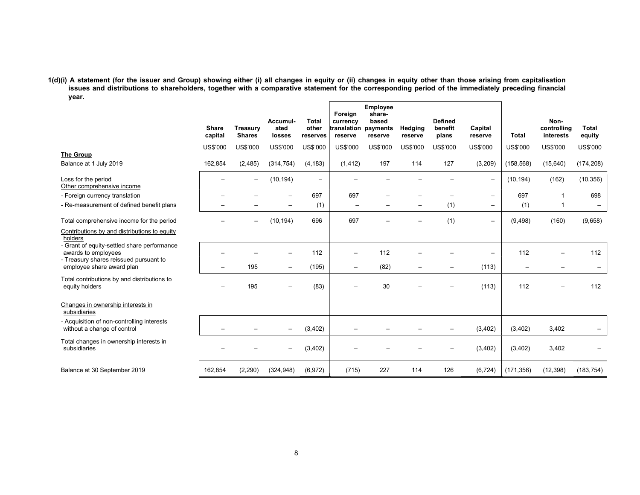# 1(d)(i) A statement (for the issuer and Group) showing either (i) all changes in equity or (ii) changes in equity other than those arising from capitalisation issues and distributions to shareholders, together with a comparative statement for the corresponding period of the immediately preceding financial year.

|                                                                                                              | <b>Share</b><br>capital  | Treasury<br><b>Shares</b> | Accumul-<br>ated<br>losses | <b>Total</b><br>other<br>reserves | Foreign<br>currency<br>translation payments<br>reserve | Employee<br>share-<br>based<br>reserve | Hedging<br>reserve | <b>Defined</b><br>benefit<br>plans | Capital<br>reserve       | <b>Total</b>             | Non-<br>controlling<br>interests | Total<br>equity |
|--------------------------------------------------------------------------------------------------------------|--------------------------|---------------------------|----------------------------|-----------------------------------|--------------------------------------------------------|----------------------------------------|--------------------|------------------------------------|--------------------------|--------------------------|----------------------------------|-----------------|
|                                                                                                              | US\$'000                 | US\$'000                  | US\$'000                   | US\$'000                          | US\$'000                                               | US\$'000                               | US\$'000           | US\$'000                           | US\$'000                 | US\$'000                 | US\$'000                         | US\$'000        |
| The Group<br>Balance at 1 July 2019                                                                          | 162,854                  | (2, 485)                  | (314, 754)                 | (4, 183)                          | (1, 412)                                               | 197                                    | 114                | 127                                | (3, 209)                 | (158, 568)               | (15,640)                         | (174, 208)      |
| Loss for the period<br>Other comprehensive income                                                            | $\overline{\phantom{0}}$ |                           | (10, 194)                  | $\qquad \qquad \blacksquare$      |                                                        |                                        |                    |                                    | $\qquad \qquad -$        | (10, 194)                | (162)                            | (10, 356)       |
| - Foreign currency translation                                                                               |                          |                           |                            | 697                               | 697                                                    |                                        |                    |                                    | $\qquad \qquad =$        | 697                      |                                  | 698             |
| - Re-measurement of defined benefit plans                                                                    |                          |                           |                            | (1)                               | $\equiv$                                               |                                        |                    | (1)                                | $\overline{\phantom{0}}$ | (1)                      |                                  |                 |
| Total comprehensive income for the period                                                                    |                          |                           | (10, 194)                  | 696                               | 697                                                    |                                        |                    | (1)                                | $\overline{\phantom{0}}$ | (9, 498)                 | (160)                            | (9,658)         |
| Contributions by and distributions to equity<br>holders                                                      |                          |                           |                            |                                   |                                                        |                                        |                    |                                    |                          |                          |                                  |                 |
| - Grant of equity-settled share performance<br>awards to employees<br>- Treasury shares reissued pursuant to |                          |                           |                            | 112                               |                                                        | 112                                    |                    |                                    |                          | 112                      |                                  | 112             |
| employee share award plan                                                                                    | $-$                      | 195                       | $\overline{\phantom{a}}$   | (195)                             | $\qquad \qquad -$                                      | (82)                                   |                    |                                    | (113)                    | $\overline{\phantom{m}}$ |                                  |                 |
| Total contributions by and distributions to<br>equity holders                                                |                          | 195                       |                            | (83)                              |                                                        | 30                                     |                    |                                    | (113)                    | 112                      |                                  | 112             |
| Changes in ownership interests in<br>subsidiaries                                                            |                          |                           |                            |                                   |                                                        |                                        |                    |                                    |                          |                          |                                  |                 |
| - Acquisition of non-controlling interests<br>without a change of control                                    |                          |                           |                            | (3, 402)                          |                                                        |                                        |                    |                                    | (3,402)                  | (3,402)                  | 3,402                            |                 |
| Total changes in ownership interests in<br>subsidiaries                                                      |                          |                           |                            | (3, 402)                          |                                                        |                                        |                    |                                    | (3, 402)                 | (3, 402)                 | 3,402                            |                 |
| Balance at 30 September 2019                                                                                 | 162,854                  | (2, 290)                  | (324, 948)                 | (6,972)                           | (715)                                                  | 227                                    | 114                | 126                                | (6, 724)                 | (171, 356)               | (12, 398)                        | (183, 754)      |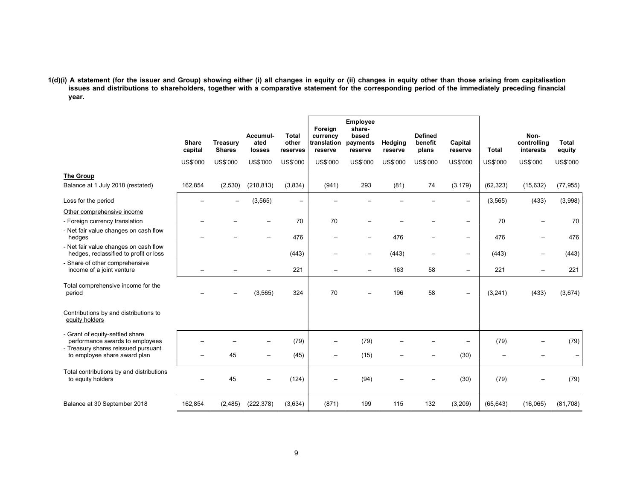1(d)(i) A statement (for the issuer and Group) showing either (i) all changes in equity or (ii) changes in equity other than those arising from capitalisation issues and distributions to shareholders, together with a comparative statement for the corresponding period of the immediately preceding financial year.

|                                                                                                           | <b>Share</b><br>capital | <b>Treasury</b><br><b>Shares</b> | Accumul-<br>ated<br>losses | <b>Total</b><br>other<br>reserves | Foreign<br>currency<br>translation<br>reserve | <b>Employee</b><br>share-<br>based<br>payments<br>reserve | Hedging<br>reserve | <b>Defined</b><br>benefit<br>plans | Capital<br>reserve       | <b>Total</b>      | Non-<br>controlling<br>interests | <b>Total</b><br>equity |
|-----------------------------------------------------------------------------------------------------------|-------------------------|----------------------------------|----------------------------|-----------------------------------|-----------------------------------------------|-----------------------------------------------------------|--------------------|------------------------------------|--------------------------|-------------------|----------------------------------|------------------------|
|                                                                                                           | US\$'000                | US\$'000                         | US\$'000                   | US\$'000                          | US\$'000                                      | US\$'000                                                  | US\$'000           | US\$'000                           | US\$'000                 | US\$'000          | US\$'000                         | US\$'000               |
| <b>The Group</b><br>Balance at 1 July 2018 (restated)                                                     | 162,854                 | (2,530)                          | (218, 813)                 | (3,834)                           | (941)                                         | 293                                                       | (81)               | 74                                 | (3, 179)                 | (62, 323)         | (15, 632)                        | (77, 955)              |
| Loss for the period                                                                                       |                         |                                  | (3, 565)                   | $\qquad \qquad -$                 |                                               |                                                           |                    |                                    | $\overline{\phantom{0}}$ | (3, 565)          | (433)                            | (3,998)                |
| Other comprehensive income<br>- Foreign currency translation                                              |                         |                                  |                            | 70                                | 70                                            |                                                           |                    |                                    | $\overline{\phantom{0}}$ | 70                |                                  | 70                     |
| - Net fair value changes on cash flow<br>hedges                                                           |                         |                                  |                            | 476                               | $\qquad \qquad -$                             | -                                                         | 476                | $\overline{\phantom{0}}$           | $\overline{\phantom{m}}$ | 476               |                                  | 476                    |
| - Net fair value changes on cash flow<br>hedges, reclassified to profit or loss                           |                         |                                  |                            | (443)                             | $\overline{\phantom{0}}$                      | -                                                         | (443)              | $\overline{\phantom{0}}$           | $\overline{\phantom{m}}$ | (443)             |                                  | (443)                  |
| - Share of other comprehensive<br>income of a joint venture                                               |                         |                                  |                            | 221                               | $=$                                           | $\equiv$                                                  | 163                | 58                                 | $\overline{\phantom{m}}$ | 221               |                                  | 221                    |
| Total comprehensive income for the<br>period                                                              |                         |                                  | (3, 565)                   | 324                               | 70                                            |                                                           | 196                | 58                                 | $\overline{\phantom{m}}$ | (3, 241)          | (433)                            | (3,674)                |
| Contributions by and distributions to<br>equity holders                                                   |                         |                                  |                            |                                   |                                               |                                                           |                    |                                    |                          |                   |                                  |                        |
| - Grant of equity-settled share<br>performance awards to employees<br>- Treasury shares reissued pursuant |                         |                                  |                            | (79)                              | $\overline{\phantom{0}}$                      | (79)                                                      |                    |                                    |                          | (79)              |                                  | (79)                   |
| to employee share award plan                                                                              |                         | 45                               |                            | (45)                              | $\qquad \qquad =$                             | (15)                                                      |                    |                                    | (30)                     | $\qquad \qquad -$ |                                  |                        |
| Total contributions by and distributions<br>to equity holders                                             |                         | 45                               |                            | (124)                             |                                               | (94)                                                      |                    |                                    | (30)                     | (79)              |                                  | (79)                   |
| Balance at 30 September 2018                                                                              | 162,854                 | (2, 485)                         | (222, 378)                 | (3,634)                           | (871)                                         | 199                                                       | 115                | 132                                | (3,209)                  | (65, 643)         | (16,065)                         | (81,708)               |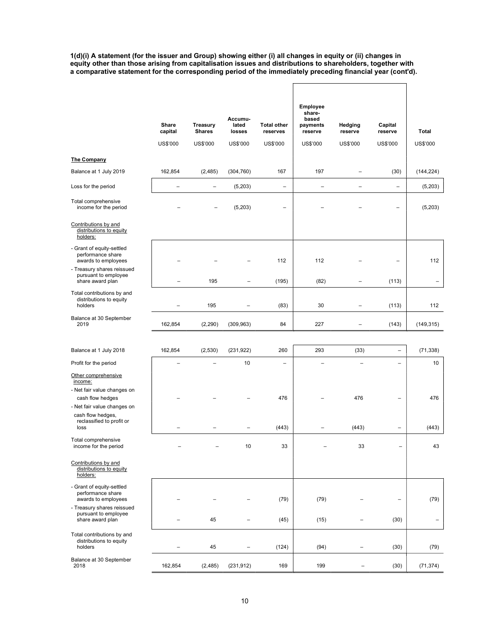1(d)(i) A statement (for the issuer and Group) showing either (i) all changes in equity or (ii) changes in equity other than those arising from capitalisation issues and distributions to shareholders, together with a comparative statement for the corresponding period of the immediately preceding financial year (cont'd).

 $\overline{\phantom{a}}$ 

|                                                                                                                                                                    | Share<br>capital<br>US\$'000 | <b>Treasury</b><br><b>Shares</b><br>US\$'000 | Accumu-<br>lated<br>losses<br><b>US\$'000</b> | <b>Total other</b><br>reserves<br>US\$'000 | <b>Employee</b><br>share-<br>based<br>payments<br>reserve<br>US\$'000 | Hedging<br>reserve<br>US\$'000 | Capital<br>reserve<br><b>US\$'000</b> | Total<br>US\$'000        |
|--------------------------------------------------------------------------------------------------------------------------------------------------------------------|------------------------------|----------------------------------------------|-----------------------------------------------|--------------------------------------------|-----------------------------------------------------------------------|--------------------------------|---------------------------------------|--------------------------|
| <b>The Company</b>                                                                                                                                                 |                              |                                              |                                               |                                            |                                                                       |                                |                                       |                          |
| Balance at 1 July 2019                                                                                                                                             | 162,854                      | (2,485)                                      | (304, 760)                                    | 167                                        | 197                                                                   |                                | (30)                                  | (144, 224)               |
| Loss for the period                                                                                                                                                | $\overline{a}$               | $\qquad \qquad -$                            | (5,203)                                       | $\qquad \qquad -$                          | $\overline{a}$                                                        | $\overline{\phantom{0}}$       | $\qquad \qquad -$                     | (5, 203)                 |
| Total comprehensive<br>income for the period                                                                                                                       |                              |                                              | (5,203)                                       |                                            |                                                                       |                                |                                       | (5,203)                  |
| Contributions by and<br>distributions to equity<br>holders:                                                                                                        |                              |                                              |                                               |                                            |                                                                       |                                |                                       |                          |
| - Grant of equity-settled<br>performance share<br>awards to employees<br>- Treasury shares reissued                                                                |                              |                                              |                                               | 112                                        | 112                                                                   |                                |                                       | 112                      |
| pursuant to employee<br>share award plan                                                                                                                           |                              | 195                                          | $\overline{\phantom{0}}$                      | (195)                                      | (82)                                                                  | $\overline{\phantom{0}}$       | (113)                                 | $\overline{\phantom{0}}$ |
| Total contributions by and<br>distributions to equity<br>holders                                                                                                   |                              | 195                                          |                                               | (83)                                       | 30                                                                    | $\overline{\phantom{0}}$       | (113)                                 | 112                      |
| Balance at 30 September<br>2019                                                                                                                                    | 162,854                      | (2,290)                                      | (309, 963)                                    | 84                                         | 227                                                                   |                                | (143)                                 | (149, 315)               |
| Balance at 1 July 2018                                                                                                                                             | 162,854                      | (2,530)                                      | (231, 922)                                    | 260                                        | 293                                                                   | (33)                           |                                       | (71, 338)                |
| Profit for the period                                                                                                                                              |                              |                                              | 10                                            | $\overline{\phantom{0}}$                   |                                                                       | $\overline{\phantom{0}}$       | $\equiv$                              | 10                       |
| Other comprehensive<br>income:<br>- Net fair value changes on<br>cash flow hedges<br>- Net fair value changes on<br>cash flow hedges,<br>reclassified to profit or |                              |                                              |                                               | 476                                        |                                                                       | 476                            | $\overline{\phantom{0}}$              | 476                      |
| loss                                                                                                                                                               |                              | $\overline{\phantom{0}}$                     | $\overline{\phantom{0}}$                      | (443)                                      | $\overline{a}$                                                        | (443)                          | $\overline{\phantom{0}}$              | (443)                    |
| Total comprehensive<br>income for the period                                                                                                                       |                              |                                              | 10                                            | 33                                         |                                                                       | 33                             | $\overline{\phantom{0}}$              | 43                       |
| Contributions by and<br>distributions to equity<br>holders:                                                                                                        |                              |                                              |                                               |                                            |                                                                       |                                |                                       |                          |
| - Grant of equity-settled<br>performance share<br>awards to employees                                                                                              |                              |                                              |                                               | (79)                                       | (79)                                                                  |                                | $\overline{\phantom{0}}$              | (79)                     |
| - Treasury shares reissued<br>pursuant to employee<br>share award plan                                                                                             |                              | 45                                           |                                               | (45)                                       | (15)                                                                  |                                | (30)                                  | $\overline{\phantom{0}}$ |
| Total contributions by and<br>distributions to equity<br>holders                                                                                                   |                              | 45                                           |                                               | (124)                                      | (94)                                                                  |                                | (30)                                  | (79)                     |
| Balance at 30 September<br>2018                                                                                                                                    | 162,854                      | (2, 485)                                     | (231, 912)                                    | 169                                        | 199                                                                   | -                              | (30)                                  | (71, 374)                |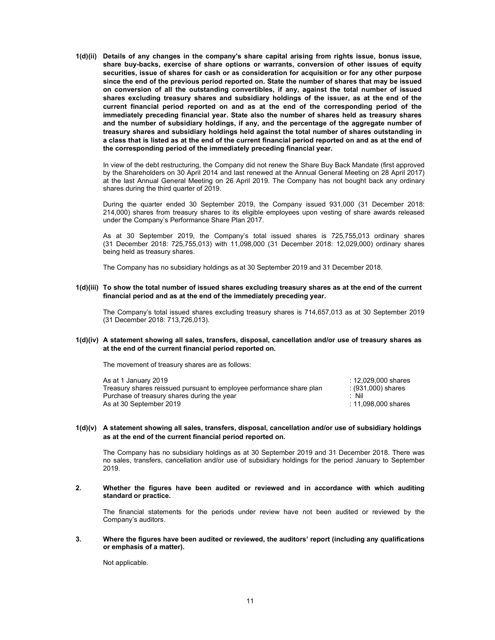1(d)(ii) Details of any changes in the company's share capital arising from rights issue, bonus issue, share buy-backs, exercise of share options or warrants, conversion of other issues of equity securities, issue of shares for cash or as consideration for acquisition or for any other purpose since the end of the previous period reported on. State the number of shares that may be issued on conversion of all the outstanding convertibles, if any, against the total number of issued shares excluding treasury shares and subsidiary holdings of the issuer, as at the end of the current financial period reported on and as at the end of the corresponding period of the immediately preceding financial year. State also the number of shares held as treasury shares and the number of subsidiary holdings, if any, and the percentage of the aggregate number of treasury shares and subsidiary holdings held against the total number of shares outstanding in a class that is listed as at the end of the current financial period reported on and as at the end of the corresponding period of the immediately preceding financial year.

In view of the debt restructuring, the Company did not renew the Share Buy Back Mandate (first approved by the Shareholders on 30 April 2014 and last renewed at the Annual General Meeting on 28 April 2017) at the last Annual General Meeting on 26 April 2019. The Company has not bought back any ordinary shares during the third quarter of 2019.

During the quarter ended 30 September 2019, the Company issued 931,000 (31 December 2018: 214,000) shares from treasury shares to its eligible employees upon vesting of share awards released under the Company's Performance Share Plan 2017.

As at 30 September 2019, the Company's total issued shares is 725,755,013 ordinary shares (31 December 2018: 725,755,013) with 11,098,000 (31 December 2018: 12,029,000) ordinary shares being held as treasury shares.

The Company has no subsidiary holdings as at 30 September 2019 and 31 December 2018.

# 1(d)(iii) To show the total number of issued shares excluding treasury shares as at the end of the current financial period and as at the end of the immediately preceding year.

The Company's total issued shares excluding treasury shares is 714,657,013 as at 30 September 2019 (31 December 2018: 713,726,013).

# 1(d)(iv) A statement showing all sales, transfers, disposal, cancellation and/or use of treasury shares as at the end of the current financial period reported on.

The movement of treasury shares are as follows:

| As at 1 January 2019                                                 | : 12.029.000 shares |
|----------------------------------------------------------------------|---------------------|
| Treasury shares reissued pursuant to employee performance share plan | : (931,000) shares  |
| Purchase of treasury shares during the year                          | : Nil               |
| As at 30 September 2019                                              | : 11.098.000 shares |

# 1(d)(v) A statement showing all sales, transfers, disposal, cancellation and/or use of subsidiary holdings as at the end of the current financial period reported on.

The Company has no subsidiary holdings as at 30 September 2019 and 31 December 2018. There was no sales, transfers, cancellation and/or use of subsidiary holdings for the period January to September 2019.

2. Whether the figures have been audited or reviewed and in accordance with which auditing standard or practice.

The financial statements for the periods under review have not been audited or reviewed by the Company's auditors.

#### 3. Where the figures have been audited or reviewed, the auditors' report (including any qualifications or emphasis of a matter).

Not applicable.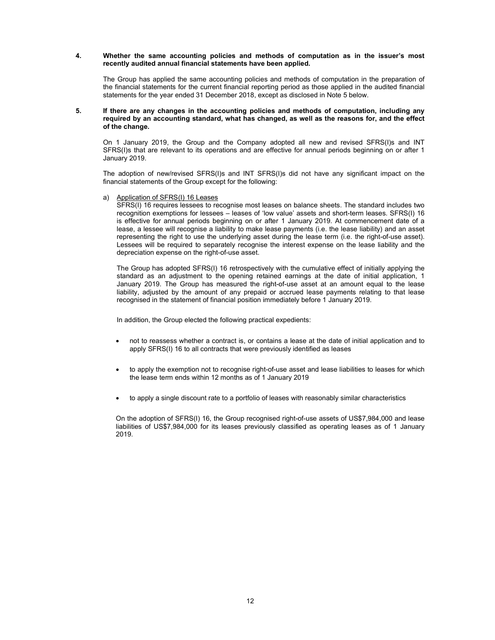### 4. Whether the same accounting policies and methods of computation as in the issuer's most recently audited annual financial statements have been applied.

The Group has applied the same accounting policies and methods of computation in the preparation of the financial statements for the current financial reporting period as those applied in the audited financial statements for the year ended 31 December 2018, except as disclosed in Note 5 below.

### 5. If there are any changes in the accounting policies and methods of computation, including any required by an accounting standard, what has changed, as well as the reasons for, and the effect of the change.

On 1 January 2019, the Group and the Company adopted all new and revised SFRS(I)s and INT SFRS(I)s that are relevant to its operations and are effective for annual periods beginning on or after 1 January 2019.

The adoption of new/revised SFRS(I)s and INT SFRS(I)s did not have any significant impact on the financial statements of the Group except for the following:

## a) Application of SFRS(I) 16 Leases

SFRS(I) 16 requires lessees to recognise most leases on balance sheets. The standard includes two recognition exemptions for lessees – leases of 'low value' assets and short-term leases. SFRS(I) 16 is effective for annual periods beginning on or after 1 January 2019. At commencement date of a lease, a lessee will recognise a liability to make lease payments (i.e. the lease liability) and an asset representing the right to use the underlying asset during the lease term (i.e. the right-of-use asset). Lessees will be required to separately recognise the interest expense on the lease liability and the depreciation expense on the right-of-use asset.

The Group has adopted SFRS(I) 16 retrospectively with the cumulative effect of initially applying the standard as an adjustment to the opening retained earnings at the date of initial application, 1 January 2019. The Group has measured the right-of-use asset at an amount equal to the lease liability, adjusted by the amount of any prepaid or accrued lease payments relating to that lease recognised in the statement of financial position immediately before 1 January 2019.

In addition, the Group elected the following practical expedients:

- not to reassess whether a contract is, or contains a lease at the date of initial application and to apply SFRS(I) 16 to all contracts that were previously identified as leases
- to apply the exemption not to recognise right-of-use asset and lease liabilities to leases for which the lease term ends within 12 months as of 1 January 2019
- to apply a single discount rate to a portfolio of leases with reasonably similar characteristics

On the adoption of SFRS(I) 16, the Group recognised right-of-use assets of US\$7,984,000 and lease liabilities of US\$7,984,000 for its leases previously classified as operating leases as of 1 January 2019.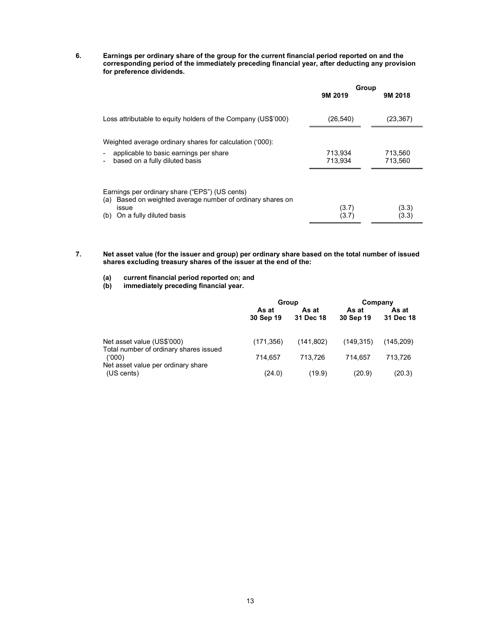6. Earnings per ordinary share of the group for the current financial period reported on and the corresponding period of the immediately preceding financial year, after deducting any provision for preference dividends.

|                                                                                                                                                             | Group          |                |
|-------------------------------------------------------------------------------------------------------------------------------------------------------------|----------------|----------------|
|                                                                                                                                                             | 9M 2019        | 9M 2018        |
| Loss attributable to equity holders of the Company (US\$'000)                                                                                               | (26, 540)      | (23,367)       |
| Weighted average ordinary shares for calculation ('000):                                                                                                    |                |                |
| applicable to basic earnings per share                                                                                                                      | 713.934        | 713.560        |
| based on a fully diluted basis                                                                                                                              | 713.934        | 713,560        |
| Earnings per ordinary share ("EPS") (US cents)<br>Based on weighted average number of ordinary shares on<br>(a)<br>issue<br>On a fully diluted basis<br>(b) | (3.7)<br>(3.7) | (3.3)<br>(3.3) |
|                                                                                                                                                             |                |                |

- 7. Net asset value (for the issuer and group) per ordinary share based on the total number of issued shares excluding treasury shares of the issuer at the end of the:
	- (a) current financial period reported on; and<br>(b) immediately preceding financial year.
	- enforcement in the period reported only a<br>immediately preceding financial year.

|                                                                      | Group              |                    | Company            |                    |
|----------------------------------------------------------------------|--------------------|--------------------|--------------------|--------------------|
|                                                                      | As at<br>30 Sep 19 | As at<br>31 Dec 18 | As at<br>30 Sep 19 | As at<br>31 Dec 18 |
| Net asset value (US\$'000)<br>Total number of ordinary shares issued | (171, 356)         | (141.802)          | (149.315)          | (145.209)          |
| (000)                                                                | 714.657            | 713.726            | 714.657            | 713,726            |
| Net asset value per ordinary share<br>(US cents)                     | (24.0)             | (19.9)             | (20.9)             | (20.3)             |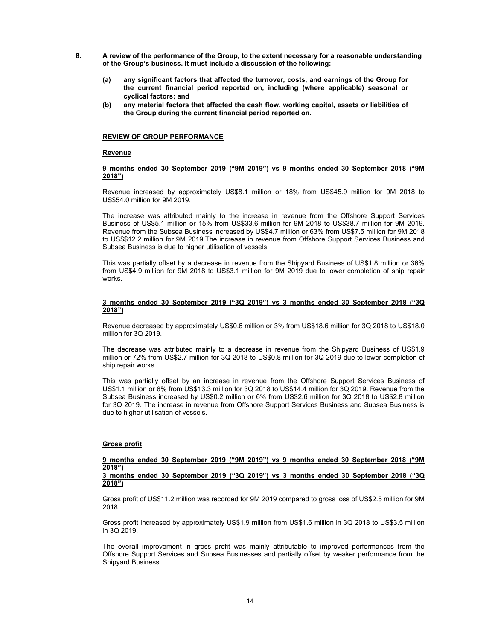- 8. A review of the performance of the Group, to the extent necessary for a reasonable understanding of the Group's business. It must include a discussion of the following:
	- (a) any significant factors that affected the turnover, costs, and earnings of the Group for the current financial period reported on, including (where applicable) seasonal or cyclical factors; and
	- (b) any material factors that affected the cash flow, working capital, assets or liabilities of the Group during the current financial period reported on.

#### REVIEW OF GROUP PERFORMANCE

#### Revenue

# 9 months ended 30 September 2019 ("9M 2019") vs 9 months ended 30 September 2018 ("9M 2018")

Revenue increased by approximately US\$8.1 million or 18% from US\$45.9 million for 9M 2018 to US\$54.0 million for 9M 2019.

The increase was attributed mainly to the increase in revenue from the Offshore Support Services Business of US\$5.1 million or 15% from US\$33.6 million for 9M 2018 to US\$38.7 million for 9M 2019. Revenue from the Subsea Business increased by US\$4.7 million or 63% from US\$7.5 million for 9M 2018 to US\$\$12.2 million for 9M 2019.The increase in revenue from Offshore Support Services Business and Subsea Business is due to higher utilisation of vessels.

This was partially offset by a decrease in revenue from the Shipyard Business of US\$1.8 million or 36% from US\$4.9 million for 9M 2018 to US\$3.1 million for 9M 2019 due to lower completion of ship repair works.

#### 3 months ended 30 September 2019 ("3Q 2019") vs 3 months ended 30 September 2018 ("3Q 2018")

Revenue decreased by approximately US\$0.6 million or 3% from US\$18.6 million for 3Q 2018 to US\$18.0 million for 3Q 2019.

The decrease was attributed mainly to a decrease in revenue from the Shipyard Business of US\$1.9 million or 72% from US\$2.7 million for 3Q 2018 to US\$0.8 million for 3Q 2019 due to lower completion of ship repair works.

This was partially offset by an increase in revenue from the Offshore Support Services Business of US\$1.1 million or 8% from US\$13.3 million for 3Q 2018 to US\$14.4 million for 3Q 2019. Revenue from the Subsea Business increased by US\$0.2 million or 6% from US\$2.6 million for 3Q 2018 to US\$2.8 million for 3Q 2019. The increase in revenue from Offshore Support Services Business and Subsea Business is due to higher utilisation of vessels.

#### Gross profit

#### 9 months ended 30 September 2019 ("9M 2019") vs 9 months ended 30 September 2018 ("9M 2018")

# 3 months ended 30 September 2019 ("3Q 2019") vs 3 months ended 30 September 2018 ("3Q 2018")

Gross profit of US\$11.2 million was recorded for 9M 2019 compared to gross loss of US\$2.5 million for 9M 2018.

Gross profit increased by approximately US\$1.9 million from US\$1.6 million in 3Q 2018 to US\$3.5 million in 3Q 2019.

The overall improvement in gross profit was mainly attributable to improved performances from the Offshore Support Services and Subsea Businesses and partially offset by weaker performance from the Shipyard Business.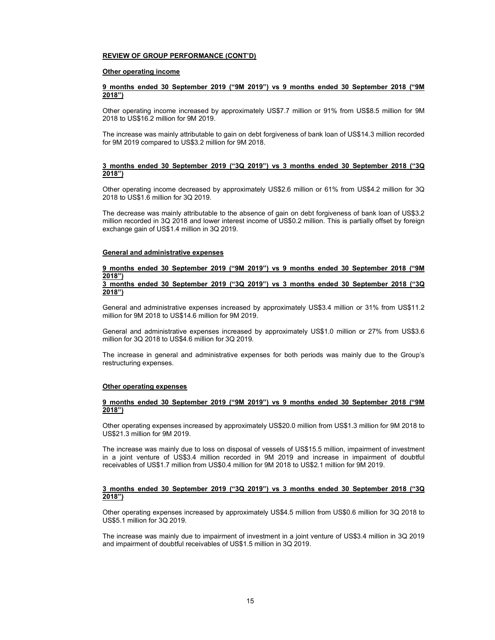#### REVIEW OF GROUP PERFORMANCE (CONT'D)

#### Other operating income

#### 9 months ended 30 September 2019 ("9M 2019") vs 9 months ended 30 September 2018 ("9M 2018")

Other operating income increased by approximately US\$7.7 million or 91% from US\$8.5 million for 9M 2018 to US\$16.2 million for 9M 2019.

The increase was mainly attributable to gain on debt forgiveness of bank loan of US\$14.3 million recorded for 9M 2019 compared to US\$3.2 million for 9M 2018.

### 3 months ended 30 September 2019 ("3Q 2019") vs 3 months ended 30 September 2018 ("3Q  $2018"$

Other operating income decreased by approximately US\$2.6 million or 61% from US\$4.2 million for 3Q 2018 to US\$1.6 million for 3Q 2019.

The decrease was mainly attributable to the absence of gain on debt forgiveness of bank loan of US\$3.2 million recorded in 3Q 2018 and lower interest income of US\$0.2 million. This is partially offset by foreign exchange gain of US\$1.4 million in 3Q 2019.

# General and administrative expenses

#### 9 months ended 30 September 2019 ("9M 2019") vs 9 months ended 30 September 2018 ("9M 2018") 3 months ended 30 September 2019 ("3Q 2019") vs 3 months ended 30 September 2018 ("3Q

# 2018")

General and administrative expenses increased by approximately US\$3.4 million or 31% from US\$11.2 million for 9M 2018 to US\$14.6 million for 9M 2019.

General and administrative expenses increased by approximately US\$1.0 million or 27% from US\$3.6 million for 3Q 2018 to US\$4.6 million for 3Q 2019.

The increase in general and administrative expenses for both periods was mainly due to the Group's restructuring expenses.

### Other operating expenses

#### 9 months ended 30 September 2019 ("9M 2019") vs 9 months ended 30 September 2018 ("9M 2018")

Other operating expenses increased by approximately US\$20.0 million from US\$1.3 million for 9M 2018 to US\$21.3 million for 9M 2019.

The increase was mainly due to loss on disposal of vessels of US\$15.5 million, impairment of investment in a joint venture of US\$3.4 million recorded in 9M 2019 and increase in impairment of doubtful receivables of US\$1.7 million from US\$0.4 million for 9M 2018 to US\$2.1 million for 9M 2019.

# 3 months ended 30 September 2019 ("3Q 2019") vs 3 months ended 30 September 2018 ("3Q 2018")

Other operating expenses increased by approximately US\$4.5 million from US\$0.6 million for 3Q 2018 to US\$5.1 million for 3Q 2019.

The increase was mainly due to impairment of investment in a joint venture of US\$3.4 million in 3Q 2019 and impairment of doubtful receivables of US\$1.5 million in 3Q 2019.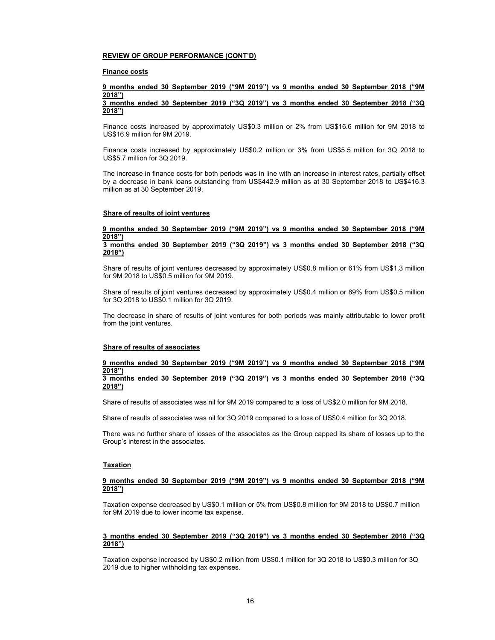#### REVIEW OF GROUP PERFORMANCE (CONT'D)

#### Finance costs

# 9 months ended 30 September 2019 ("9M 2019") vs 9 months ended 30 September 2018 ("9M 2018")

3 months ended 30 September 2019 ("3Q 2019") vs 3 months ended 30 September 2018 ("3Q 2018")

Finance costs increased by approximately US\$0.3 million or 2% from US\$16.6 million for 9M 2018 to US\$16.9 million for 9M 2019.

Finance costs increased by approximately US\$0.2 million or 3% from US\$5.5 million for 3Q 2018 to US\$5.7 million for 3Q 2019.

The increase in finance costs for both periods was in line with an increase in interest rates, partially offset by a decrease in bank loans outstanding from US\$442.9 million as at 30 September 2018 to US\$416.3 million as at 30 September 2019.

#### Share of results of joint ventures

#### 9 months ended 30 September 2019 ("9M 2019") vs 9 months ended 30 September 2018 ("9M 2018") 3 months ended 30 September 2019 ("3Q 2019") vs 3 months ended 30 September 2018 ("3Q

# 2018") Share of results of joint ventures decreased by approximately US\$0.8 million or 61% from US\$1.3 million

for 9M 2018 to US\$0.5 million for 9M 2019.

Share of results of joint ventures decreased by approximately US\$0.4 million or 89% from US\$0.5 million for 3Q 2018 to US\$0.1 million for 3Q 2019.

The decrease in share of results of joint ventures for both periods was mainly attributable to lower profit from the joint ventures.

#### Share of results of associates

#### 9 months ended 30 September 2019 ("9M 2019") vs 9 months ended 30 September 2018 ("9M 2018") 3 months ended 30 September 2019 ("3Q 2019") vs 3 months ended 30 September 2018 ("3Q

Share of results of associates was nil for 9M 2019 compared to a loss of US\$2.0 million for 9M 2018.

Share of results of associates was nil for 3Q 2019 compared to a loss of US\$0.4 million for 3Q 2018.

There was no further share of losses of the associates as the Group capped its share of losses up to the Group's interest in the associates.

#### **Taxation**

2018")

# 9 months ended 30 September 2019 ("9M 2019") vs 9 months ended 30 September 2018 ("9M 2018")

Taxation expense decreased by US\$0.1 million or 5% from US\$0.8 million for 9M 2018 to US\$0.7 million for 9M 2019 due to lower income tax expense.

#### 3 months ended 30 September 2019 ("3Q 2019") vs 3 months ended 30 September 2018 ("3Q 2018")

Taxation expense increased by US\$0.2 million from US\$0.1 million for 3Q 2018 to US\$0.3 million for 3Q 2019 due to higher withholding tax expenses.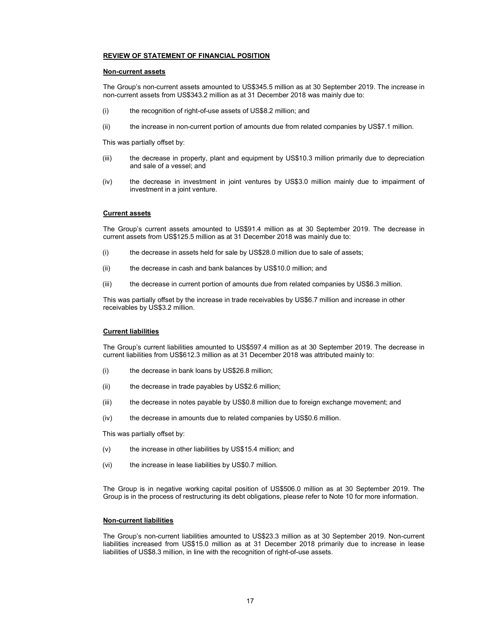#### REVIEW OF STATEMENT OF FINANCIAL POSITION

#### Non-current assets

The Group's non-current assets amounted to US\$345.5 million as at 30 September 2019. The increase in non-current assets from US\$343.2 million as at 31 December 2018 was mainly due to:

- (i) the recognition of right-of-use assets of US\$8.2 million; and
- (ii) the increase in non-current portion of amounts due from related companies by US\$7.1 million.

This was partially offset by:

- (iii) the decrease in property, plant and equipment by US\$10.3 million primarily due to depreciation and sale of a vessel; and
- (iv) the decrease in investment in joint ventures by US\$3.0 million mainly due to impairment of investment in a joint venture.

### Current assets

The Group's current assets amounted to US\$91.4 million as at 30 September 2019. The decrease in current assets from US\$125.5 million as at 31 December 2018 was mainly due to:

- (i) the decrease in assets held for sale by US\$28.0 million due to sale of assets;
- (ii) the decrease in cash and bank balances by US\$10.0 million; and
- (iii) the decrease in current portion of amounts due from related companies by US\$6.3 million.

This was partially offset by the increase in trade receivables by US\$6.7 million and increase in other receivables by US\$3.2 million.

#### Current liabilities

The Group's current liabilities amounted to US\$597.4 million as at 30 September 2019. The decrease in current liabilities from US\$612.3 million as at 31 December 2018 was attributed mainly to:

- (i) the decrease in bank loans by US\$26.8 million;
- (ii) the decrease in trade payables by US\$2.6 million;
- (iii) the decrease in notes payable by US\$0.8 million due to foreign exchange movement; and
- (iv) the decrease in amounts due to related companies by US\$0.6 million.

This was partially offset by:

- (v) the increase in other liabilities by US\$15.4 million; and
- (vi) the increase in lease liabilities by US\$0.7 million.

The Group is in negative working capital position of US\$506.0 million as at 30 September 2019. The Group is in the process of restructuring its debt obligations, please refer to Note 10 for more information.

# Non-current liabilities

The Group's non-current liabilities amounted to US\$23.3 million as at 30 September 2019. Non-current liabilities increased from US\$15.0 million as at 31 December 2018 primarily due to increase in lease liabilities of US\$8.3 million, in line with the recognition of right-of-use assets.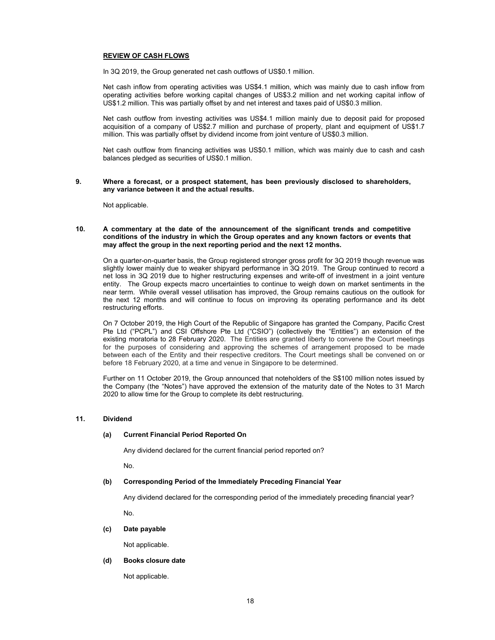# REVIEW OF CASH FLOWS

In 3Q 2019, the Group generated net cash outflows of US\$0.1 million.

Net cash inflow from operating activities was US\$4.1 million, which was mainly due to cash inflow from operating activities before working capital changes of US\$3.2 million and net working capital inflow of US\$1.2 million. This was partially offset by and net interest and taxes paid of US\$0.3 million.

Net cash outflow from investing activities was US\$4.1 million mainly due to deposit paid for proposed acquisition of a company of US\$2.7 million and purchase of property, plant and equipment of US\$1.7 million. This was partially offset by dividend income from joint venture of US\$0.3 million.

Net cash outflow from financing activities was US\$0.1 million, which was mainly due to cash and cash balances pledged as securities of US\$0.1 million.

#### 9. Where a forecast, or a prospect statement, has been previously disclosed to shareholders, any variance between it and the actual results.

Not applicable.

# 10. A commentary at the date of the announcement of the significant trends and competitive conditions of the industry in which the Group operates and any known factors or events that may affect the group in the next reporting period and the next 12 months.

On a quarter-on-quarter basis, the Group registered stronger gross profit for 3Q 2019 though revenue was slightly lower mainly due to weaker shipyard performance in 3Q 2019. The Group continued to record a net loss in 3Q 2019 due to higher restructuring expenses and write-off of investment in a joint venture entity. The Group expects macro uncertainties to continue to weigh down on market sentiments in the near term. While overall vessel utilisation has improved, the Group remains cautious on the outlook for the next 12 months and will continue to focus on improving its operating performance and its debt restructuring efforts.

On 7 October 2019, the High Court of the Republic of Singapore has granted the Company, Pacific Crest Pte Ltd ("PCPL") and CSI Offshore Pte Ltd ("CSIO") (collectively the "Entities") an extension of the existing moratoria to 28 February 2020. The Entities are granted liberty to convene the Court meetings for the purposes of considering and approving the schemes of arrangement proposed to be made between each of the Entity and their respective creditors. The Court meetings shall be convened on or before 18 February 2020, at a time and venue in Singapore to be determined.

Further on 11 October 2019, the Group announced that noteholders of the S\$100 million notes issued by the Company (the "Notes") have approved the extension of the maturity date of the Notes to 31 March 2020 to allow time for the Group to complete its debt restructuring.

#### 11. Dividend

#### (a) Current Financial Period Reported On

Any dividend declared for the current financial period reported on?

No.

#### (b) Corresponding Period of the Immediately Preceding Financial Year

Any dividend declared for the corresponding period of the immediately preceding financial year?

No.

#### (c) Date payable

Not applicable.

#### (d) Books closure date

Not applicable.